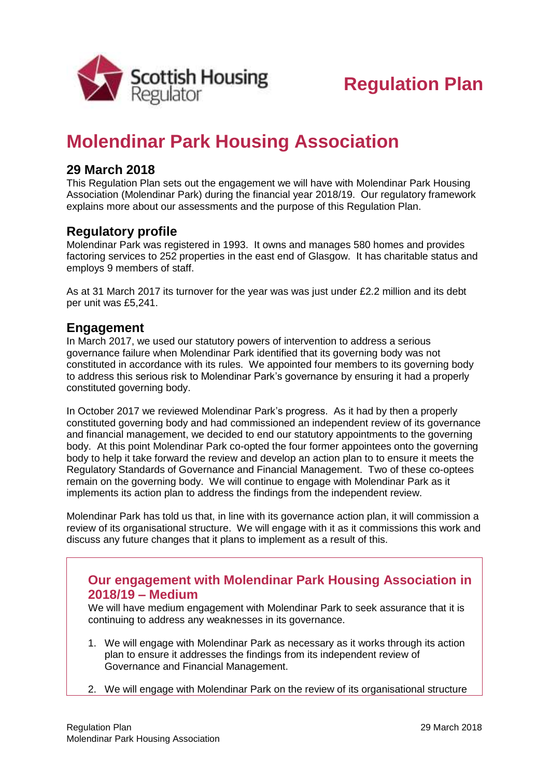

# **Molendinar Park Housing Association**

## **29 March 2018**

This Regulation Plan sets out the engagement we will have with Molendinar Park Housing Association (Molendinar Park) during the financial year 2018/19. Our regulatory framework explains more about our assessments and the purpose of this Regulation Plan.

## **Regulatory profile**

Molendinar Park was registered in 1993. It owns and manages 580 homes and provides factoring services to 252 properties in the east end of Glasgow. It has charitable status and employs 9 members of staff.

As at 31 March 2017 its turnover for the year was was just under £2.2 million and its debt per unit was £5,241.

### **Engagement**

In March 2017, we used our statutory powers of intervention to address a serious governance failure when Molendinar Park identified that its governing body was not constituted in accordance with its rules. We appointed four members to its governing body to address this serious risk to Molendinar Park's governance by ensuring it had a properly constituted governing body.

In October 2017 we reviewed Molendinar Park's progress. As it had by then a properly constituted governing body and had commissioned an independent review of its governance and financial management, we decided to end our statutory appointments to the governing body. At this point Molendinar Park co-opted the four former appointees onto the governing body to help it take forward the review and develop an action plan to to ensure it meets the Regulatory Standards of Governance and Financial Management. Two of these co-optees remain on the governing body. We will continue to engage with Molendinar Park as it implements its action plan to address the findings from the independent review.

Molendinar Park has told us that, in line with its governance action plan, it will commission a review of its organisational structure. We will engage with it as it commissions this work and discuss any future changes that it plans to implement as a result of this.

### **Our engagement with Molendinar Park Housing Association in 2018/19 – Medium**

We will have medium engagement with Molendinar Park to seek assurance that it is continuing to address any weaknesses in its governance.

- 1. We will engage with Molendinar Park as necessary as it works through its action plan to ensure it addresses the findings from its independent review of Governance and Financial Management.
- 2. We will engage with Molendinar Park on the review of its organisational structure